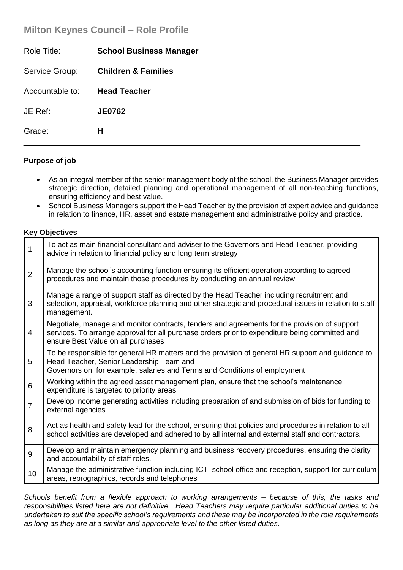# **Milton Keynes Council – Role Profile**

| Role Title:     | <b>School Business Manager</b> |
|-----------------|--------------------------------|
| Service Group:  | <b>Children &amp; Families</b> |
| Accountable to: | <b>Head Teacher</b>            |
| JE Ref:         | <b>JE0762</b>                  |
| Grade:          | н                              |
|                 |                                |

## **Purpose of job**

- As an integral member of the senior management body of the school, the Business Manager provides strategic direction, detailed planning and operational management of all non-teaching functions, ensuring efficiency and best value.
- School Business Managers support the Head Teacher by the provision of expert advice and guidance in relation to finance, HR, asset and estate management and administrative policy and practice.

## **Key Objectives**

| 1              | To act as main financial consultant and adviser to the Governors and Head Teacher, providing<br>advice in relation to financial policy and long term strategy                                                                        |
|----------------|--------------------------------------------------------------------------------------------------------------------------------------------------------------------------------------------------------------------------------------|
| $\overline{2}$ | Manage the school's accounting function ensuring its efficient operation according to agreed<br>procedures and maintain those procedures by conducting an annual review                                                              |
| 3              | Manage a range of support staff as directed by the Head Teacher including recruitment and<br>selection, appraisal, workforce planning and other strategic and procedural issues in relation to staff<br>management.                  |
| 4              | Negotiate, manage and monitor contracts, tenders and agreements for the provision of support<br>services. To arrange approval for all purchase orders prior to expenditure being committed and<br>ensure Best Value on all purchases |
| 5              | To be responsible for general HR matters and the provision of general HR support and guidance to<br>Head Teacher, Senior Leadership Team and<br>Governors on, for example, salaries and Terms and Conditions of employment           |
| 6              | Working within the agreed asset management plan, ensure that the school's maintenance<br>expenditure is targeted to priority areas                                                                                                   |
| $\overline{7}$ | Develop income generating activities including preparation of and submission of bids for funding to<br>external agencies                                                                                                             |
| 8              | Act as health and safety lead for the school, ensuring that policies and procedures in relation to all<br>school activities are developed and adhered to by all internal and external staff and contractors.                         |
| 9              | Develop and maintain emergency planning and business recovery procedures, ensuring the clarity<br>and accountability of staff roles.                                                                                                 |
| 10             | Manage the administrative function including ICT, school office and reception, support for curriculum<br>areas, reprographics, records and telephones                                                                                |

*Schools benefit from a flexible approach to working arrangements – because of this, the tasks and responsibilities listed here are not definitive. Head Teachers may require particular additional duties to be undertaken to suit the specific school's requirements and these may be incorporated in the role requirements as long as they are at a similar and appropriate level to the other listed duties.*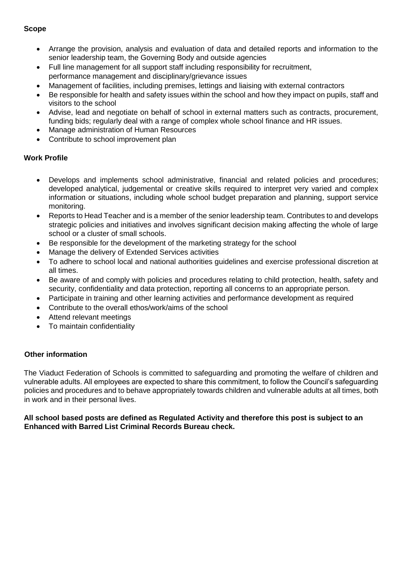# **Scope**

- Arrange the provision, analysis and evaluation of data and detailed reports and information to the senior leadership team, the Governing Body and outside agencies
- Full line management for all support staff including responsibility for recruitment, performance management and disciplinary/grievance issues
- Management of facilities, including premises, lettings and liaising with external contractors
- Be responsible for health and safety issues within the school and how they impact on pupils, staff and visitors to the school
- Advise, lead and negotiate on behalf of school in external matters such as contracts, procurement, funding bids; regularly deal with a range of complex whole school finance and HR issues.
- Manage administration of Human Resources
- Contribute to school improvement plan

# **Work Profile**

- Develops and implements school administrative, financial and related policies and procedures; developed analytical, judgemental or creative skills required to interpret very varied and complex information or situations, including whole school budget preparation and planning, support service monitoring.
- Reports to Head Teacher and is a member of the senior leadership team. Contributes to and develops strategic policies and initiatives and involves significant decision making affecting the whole of large school or a cluster of small schools.
- Be responsible for the development of the marketing strategy for the school
- Manage the delivery of Extended Services activities
- To adhere to school local and national authorities guidelines and exercise professional discretion at all times.
- Be aware of and comply with policies and procedures relating to child protection, health, safety and security, confidentiality and data protection, reporting all concerns to an appropriate person.
- Participate in training and other learning activities and performance development as required
- Contribute to the overall ethos/work/aims of the school
- Attend relevant meetings
- To maintain confidentiality

## **Other information**

The Viaduct Federation of Schools is committed to safeguarding and promoting the welfare of children and vulnerable adults. All employees are expected to share this commitment, to follow the Council's safeguarding policies and procedures and to behave appropriately towards children and vulnerable adults at all times, both in work and in their personal lives.

## **All school based posts are defined as Regulated Activity and therefore this post is subject to an Enhanced with Barred List Criminal Records Bureau check.**